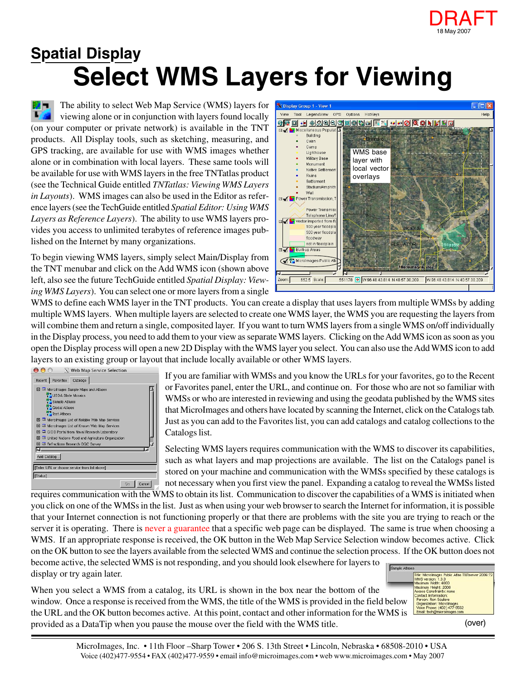

## **Select WMS Layers for Viewing Spatial Display**

The ability to select Web Map Service (WMS) layers for T7 viewing alone or in conjunction with layers found locally (on your computer or private network) is available in the TNT products. All Display tools, such as sketching, measuring, and GPS tracking, are available for use with WMS images whether alone or in combination with local layers. These same tools will be available for use with WMS layers in the free TNTatlas product (see the Technical Guide entitled *TNTatlas: Viewing WMS Layers in Layouts*). WMS images can also be used in the Editor as reference layers (see the TechGuide entitled *Spatial Editor: Using WMS Layers as Reference Layers*). The ability to use WMS layers provides you access to unlimited terabytes of reference images published on the Internet by many organizations.

To begin viewing WMS layers, simply select Main/Display from the TNT menubar and click on the Add WMS icon (shown above left, also see the future TechGuide entitled *Spatial Display: Viewing WMS Layers*). You can select one or more layers from a single



WMS to define each WMS layer in the TNT products. You can create a display that uses layers from multiple WMSs by adding multiple WMS layers. When multiple layers are selected to create one WMS layer, the WMS you are requesting the layers from will combine them and return a single, composited layer. If you want to turn WMS layers from a single WMS on/off individually in the Display process, you need to add them to your view as separate WMS layers. Clicking on the Add WMS icon as soon as you open the Display process will open a new 2D Display with the WMS layer you select. You can also use the Add WMS icon to add layers to an existing group or layout that include locally available or other WMS layers.



If you are familiar with WMSs and you know the URLs for your favorites, go to the Recent or Favorites panel, enter the URL, and continue on. For those who are not so familiar with WMSs or who are interested in reviewing and using the geodata published by the WMS sites that MicroImages and others have located by scanning the Internet, click on the Catalogs tab. Just as you can add to the Favorites list, you can add catalogs and catalog collections to the Catalogs list.

Selecting WMS layers requires communication with the WMS to discover its capabilities, such as what layers and map projections are available. The list on the Catalogs panel is stored on your machine and communication with the WMSs specified by these catalogs is not necessary when you first view the panel. Expanding a catalog to reveal the WMSs listed

requires communication with the WMS to obtain its list. Communication to discover the capabilities of a WMS is initiated when you click on one of the WMSs in the list. Just as when using your web browser to search the Internet for information, it is possible that your Internet connection is not functioning properly or that there are problems with the site you are trying to reach or the server it is operating. There is never a guarantee that a specific web page can be displayed. The same is true when choosing a WMS. If an appropriate response is received, the OK button in the Web Map Service Selection window becomes active. Click on the OK button to see the layers available from the selected WMS and continue the selection process. If the OK button does not become active, the selected WMS is not responding, and you should look elsewhere for layers to Sample Att display or try again later.

When you select a WMS from a catalog, its URL is shown in the box near the bottom of the window. Once a response is received from the WMS, the title of the WMS is provided in the field below the URL and the OK button becomes active. At this point, contact and other information for the WMS is provided as a DataTip when you pause the mouse over the field with the WMS title.



(over)

MicroImages, Inc. • 11th Floor –Sharp Tower • 206 S. 13th Street • Lincoln, Nebraska • 68508-2010 • USA Voice (402)477-9554 • FAX (402)477-9559 • email info@microimages.com • web www.microimages.com • May 2007